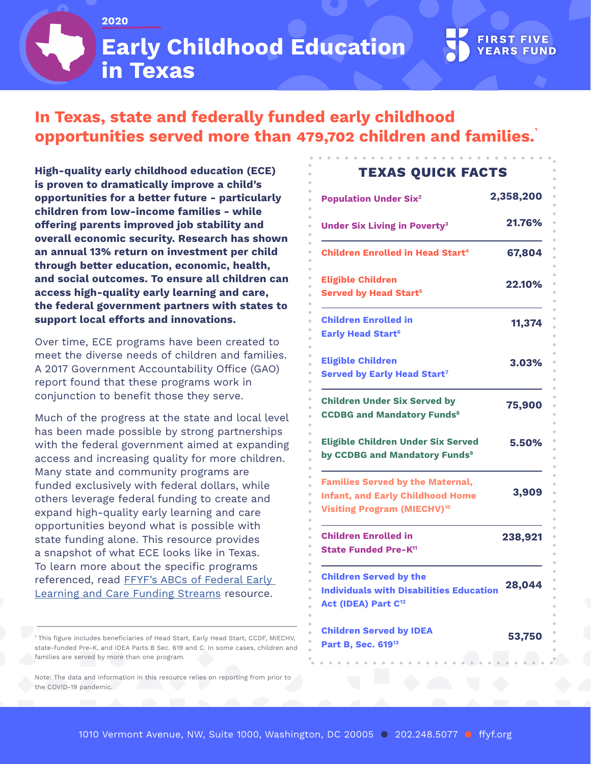**2020**

**Early Childhood Education in Texas**

## **In Texas, state and federally funded early childhood opportunities served more than 479,702 children and families. 1**

**High-quality early childhood education (ECE) is proven to dramatically improve a child's opportunities for a better future - particularly children from low-income families - while offering parents improved job stability and overall economic security. Research has shown an annual 13% return on investment per child through better education, economic, health, and social outcomes. To ensure all children can access high-quality early learning and care, the federal government partners with states to support local efforts and innovations.** 

Over time, ECE programs have been created to meet the diverse needs of children and families. A 2017 Government Accountability Office (GAO) report found that these programs work in conjunction to benefit those they serve.

Much of the progress at the state and local level has been made possible by strong partnerships with the federal government aimed at expanding access and increasing quality for more children. Many state and community programs are funded exclusively with federal dollars, while others leverage federal funding to create and expand high-quality early learning and care opportunities beyond what is possible with state funding alone. This resource provides a snapshot of what ECE looks like in Texas. To learn more about the specific programs referenced, read [FFYF's ABCs of Federal Early](https://www.ffyf.org/abcs-of-federal-early-learning-and-care-funding-streams/)  [Learning and Care Funding Streams](https://www.ffyf.org/abcs-of-federal-early-learning-and-care-funding-streams/) resource.

1 This figure includes beneficiaries of Head Start, Early Head Start, CCDF, MIECHV, state-funded Pre-K, and IDEA Parts B Sec. 619 and C. In some cases, children and families are served by more than one program.

Note: The data and information in this resource relies on reporting from prior to the COVID-19 pandemic.

## **TEXAS QUICK FACTS**

| <b>Population Under Six<sup>2</sup></b>                                                                                             | 2,358,200 |
|-------------------------------------------------------------------------------------------------------------------------------------|-----------|
| <b>Under Six Living in Poverty<sup>3</sup></b>                                                                                      | 21.76%    |
| <b>Children Enrolled in Head Start<sup>4</sup></b>                                                                                  | 67,804    |
| <b>Eligible Children</b><br><b>Served by Head Start<sup>5</sup></b>                                                                 | 22.10%    |
| <b>Children Enrolled in</b><br><b>Early Head Start<sup>6</sup></b>                                                                  | 11,374    |
| <b>Eligible Children</b><br><b>Served by Early Head Start7</b>                                                                      | 3.03%     |
| <b>Children Under Six Served by</b><br><b>CCDBG and Mandatory Funds<sup>8</sup></b>                                                 | 75,900    |
| <b>Eligible Children Under Six Served</b><br>by CCDBG and Mandatory Funds <sup>9</sup>                                              | 5.50%     |
| <b>Families Served by the Maternal,</b><br><b>Infant, and Early Childhood Home</b><br><b>Visiting Program (MIECHV)<sup>10</sup></b> | 3,909     |
| <b>Children Enrolled in</b><br>State Funded Pre-K <sup>11</sup>                                                                     | 238,921   |
| <b>Children Served by the</b><br><b>Individuals with Disabilities Education</b><br>Act (IDEA) Part C <sup>12</sup>                  | 28,044    |
| <b>Children Served by IDEA</b><br>Part B, Sec. 619 <sup>13</sup>                                                                    | 53,750    |